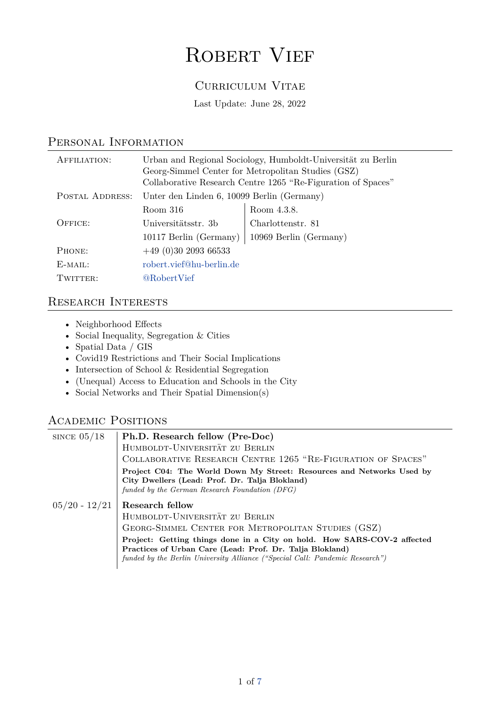# ROBERT VIEF

#### Curriculum Vitae

Last Update: June 28, 2022

| AFFILIATION:    |                                            | Urban and Regional Sociology, Humboldt-Universität zu Berlin<br>Georg-Simmel Center for Metropolitan Studies (GSZ)<br>Collaborative Research Centre 1265 "Re-Figuration of Spaces" |
|-----------------|--------------------------------------------|------------------------------------------------------------------------------------------------------------------------------------------------------------------------------------|
| POSTAL ADDRESS: | Unter den Linden 6, 10099 Berlin (Germany) |                                                                                                                                                                                    |
|                 | Room 316                                   | Room 4.3.8.                                                                                                                                                                        |
| OFFICE:         | Universitätsstr. 3b                        | Charlottenstr. 81                                                                                                                                                                  |
|                 | 10117 Berlin (Germany)                     | 10969 Berlin (Germany)                                                                                                                                                             |
| PHONE:          | $+49(0)30209366533$                        |                                                                                                                                                                                    |
| $E-MAIL:$       | robert.vief@hu-berlin.de                   |                                                                                                                                                                                    |
| Twitter:        | <b>@RobertVief</b>                         |                                                                                                                                                                                    |

#### Personal Information

#### Research Interests

- Neighborhood Effects
- Social Inequality, Segregation & Cities
- Spatial Data / GIS
- Covid19 Restrictions and Their Social Implications
- Intersection of School & Residential Segregation
- (Unequal) Access to Education and Schools in the City
- Social Networks and Their Spatial Dimension(s)

#### Academic Positions

| SINCE $05/18$   | Ph.D. Research fellow (Pre-Doc)<br>HUMBOLDT-UNIVERSITÄT ZU BERLIN<br>COLLABORATIVE RESEARCH CENTRE 1265 "RE-FIGURATION OF SPACES"<br>Project C04: The World Down My Street: Resources and Networks Used by                                                                                                                            |
|-----------------|---------------------------------------------------------------------------------------------------------------------------------------------------------------------------------------------------------------------------------------------------------------------------------------------------------------------------------------|
|                 | City Dwellers (Lead: Prof. Dr. Talja Blokland)<br>funded by the German Research Foundation (DFG)                                                                                                                                                                                                                                      |
| $05/20 - 12/21$ | <b>Research fellow</b><br>HUMBOLDT-UNIVERSITÄT ZU BERLIN<br>GEORG-SIMMEL CENTER FOR METROPOLITAN STUDIES (GSZ)<br>Project: Getting things done in a City on hold. How SARS-COV-2 affected<br>Practices of Urban Care (Lead: Prof. Dr. Talja Blokland)<br>funded by the Berlin University Alliance ("Special Call: Pandemic Research") |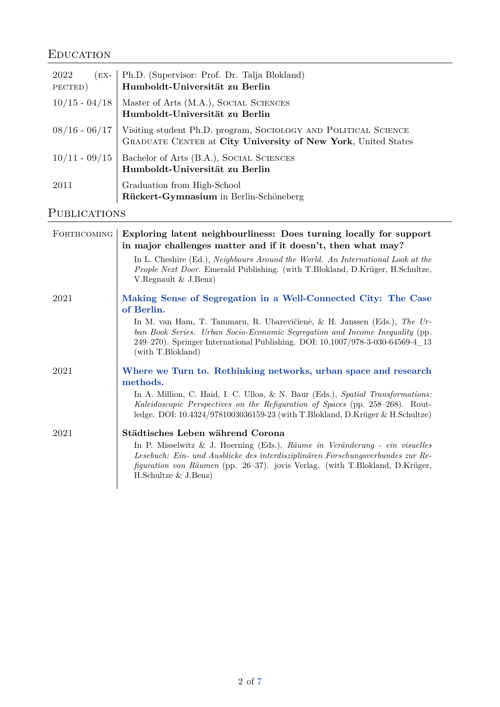### **EDUCATION**

| 2022<br>$(EX-$<br>PECTED) | Ph.D. (Supervisor: Prof. Dr. Talja Blokland)<br><b>Humboldt-Universität zu Berlin</b>                                                                            |
|---------------------------|------------------------------------------------------------------------------------------------------------------------------------------------------------------|
|                           | 10/15 - 04/18   Master of Arts (M.A.), SOCIAL SCIENCES<br>Humboldt-Universität zu Berlin                                                                         |
|                           | $\frac{08}{16} - \frac{06}{17}$ Visiting student Ph.D. program, SOCIOLOGY AND POLITICAL SCIENCE<br>GRADUATE CENTER at City University of New York, United States |
|                           | $10/11 - 09/15$ Bachelor of Arts (B.A.), SOCIAL SCIENCES<br>Humboldt-Universität zu Berlin                                                                       |
| 2011                      | Graduation from High-School<br>Rückert-Gymnasium in Berlin-Schöneberg                                                                                            |

### PUBLICATIONS

| FORTHCOMING | Exploring latent neighbourliness: Does turning locally for support<br>in major challenges matter and if it doesn't, then what may?                                                                                                                                              |
|-------------|---------------------------------------------------------------------------------------------------------------------------------------------------------------------------------------------------------------------------------------------------------------------------------|
|             | In L. Cheshire (Ed.), Neighbours Around the World. An International Look at the<br>People Next Door. Emerald Publishing. (with T.Blokland, D.Krüger, H.Schultze,<br>V. Regnault $&$ J. Benz)                                                                                    |
| 2021        | Making Sense of Segregation in a Well-Connected City: The Case<br>of Berlin.                                                                                                                                                                                                    |
|             | In M. van Ham, T. Tammaru, R. Ubarevičienė, & H. Janssen (Eds.), The Ur-<br>ban Book Series. Urban Socio-Economic Segregation and Income Inequality (pp.<br>249-270). Springer International Publishing. DOI: 10.1007/978-3-030-64569-4_13<br>(with T.Blokland)                 |
| 2021        | Where we Turn to. Rethinking networks, urban space and research<br>methods.                                                                                                                                                                                                     |
|             | In A. Million, C. Haid, I. C. Ulloa, & N. Baur (Eds.), Spatial Transformations:<br>Kaleidoscopic Perspectives on the Refiguration of Spaces (pp. 258–268). Rout-<br>ledge. DOI: 10.4324/9781003036159-23 (with T.Blokland, D.Krüger & H.Schultze)                               |
| 2021        | Städtisches Leben während Corona                                                                                                                                                                                                                                                |
|             | In P. Misselwitz & J. Hoerning (Eds.), Räume in Veränderung - ein visuelles<br>Lesebuch: Ein- und Ausblicke des interdisziplinären Forschungsverbundes zur Re-<br><i>figuration von Räumen</i> (pp. 26–37). jovis Verlag. (with T.Blokland, D.Krüger,<br>H.Schultze $&$ J.Benz) |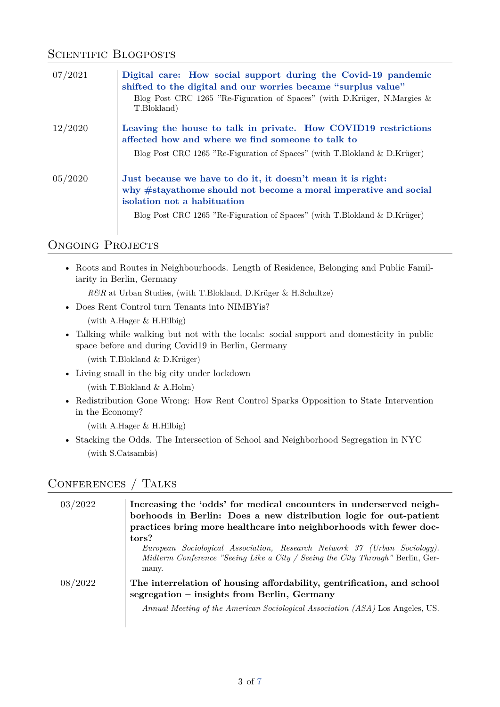#### SCIENTIFIC BLOGPOSTS

| 07/2021 | Digital care: How social support during the Covid-19 pandemic<br>shifted to the digital and our worries became "surplus value"<br>Blog Post CRC 1265 "Re-Figuration of Spaces" (with D.Krüger, N.Margies $\&$<br>T.Blokland)               |
|---------|--------------------------------------------------------------------------------------------------------------------------------------------------------------------------------------------------------------------------------------------|
| 12/2020 | Leaving the house to talk in private. How COVID19 restrictions<br>affected how and where we find someone to talk to<br>Blog Post CRC 1265 "Re-Figuration of Spaces" (with T.Blokland & D.Krüger)                                           |
| 05/2020 | Just because we have to do it, it doesn't mean it is right:<br>why #stayathome should not become a moral imperative and social<br>isolation not a habituation<br>Blog Post CRC 1265 "Re-Figuration of Spaces" (with T.Blokland & D.Krüger) |

#### ONGOING PROJECTS

• Roots and Routes in Neighbourhoods. Length of Residence, Belonging and Public Familiarity in Berlin, Germany

*R&R* at Urban Studies, (with T.Blokland, D.Krüger & H.Schultze)

• Does Rent Control turn Tenants into NIMBYis?

(with A.Hager & H.Hilbig)

- Talking while walking but not with the locals: social support and domesticity in public space before and during Covid19 in Berlin, Germany (with T.Blokland & D.Krüger)
- Living small in the big city under lockdown (with T.Blokland & A.Holm)
- Redistribution Gone Wrong: How Rent Control Sparks Opposition to State Intervention in the Economy?

(with A.Hager & H.Hilbig)

• Stacking the Odds. The Intersection of School and Neighborhood Segregation in NYC (with S.Catsambis)

#### Conferences / Talks

| 03/2022 | Increasing the 'odds' for medical encounters in underserved neigh-<br>borhoods in Berlin: Does a new distribution logic for out-patient<br>practices bring more healthcare into neighborhoods with fewer doc- |
|---------|---------------------------------------------------------------------------------------------------------------------------------------------------------------------------------------------------------------|
|         | tors?<br>European Sociological Association, Research Network 37 (Urban Sociology).<br>Midterm Conference "Seeing Like a City / Seeing the City Through" Berlin, Ger-<br>many.                                 |
| 08/2022 | The interrelation of housing affordability, gentrification, and school<br>segregation - insights from Berlin, Germany<br>Annual Meeting of the American Sociological Association (ASA) Los Angeles, US.       |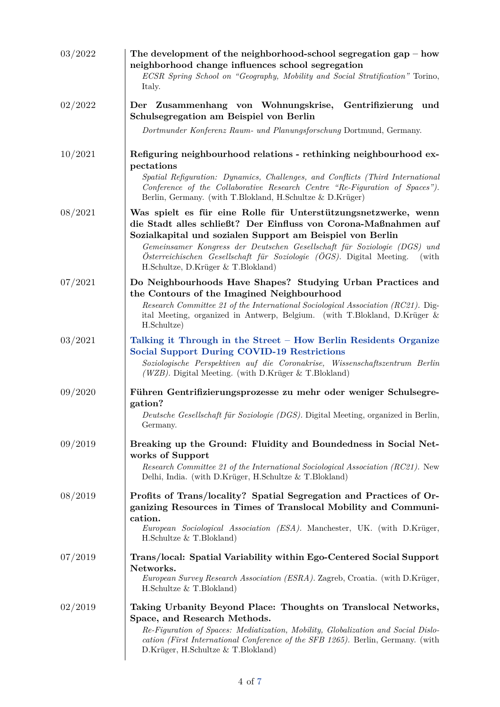| 03/2022 | The development of the neighborhood-school segregation gap $-$ how<br>neighborhood change influences school segregation<br>ECSR Spring School on "Geography, Mobility and Social Stratification" Torino,<br>Italy.                                                                                                                                                                                |
|---------|---------------------------------------------------------------------------------------------------------------------------------------------------------------------------------------------------------------------------------------------------------------------------------------------------------------------------------------------------------------------------------------------------|
| 02/2022 | Der Zusammenhang von Wohnungskrise, Gentrifizierung<br>und<br>Schulsegregation am Beispiel von Berlin<br>Dortmunder Konferenz Raum- und Planungsforschung Dortmund, Germany.                                                                                                                                                                                                                      |
| 10/2021 | Refiguring neighbourhood relations - rethinking neighbourhood ex-<br>pectations<br>Spatial Refiguration: Dynamics, Challenges, and Conflicts (Third International<br>Conference of the Collaborative Research Centre "Re-Figuration of Spaces").<br>Berlin, Germany. (with T.Blokland, H.Schultze & D.Krüger)                                                                                     |
| 08/2021 | Was spielt es für eine Rolle für Unterstützungsnetzwerke, wenn<br>die Stadt alles schließt? Der Einfluss von Corona-Maßnahmen auf<br>Sozialkapital und sozialen Support am Beispiel von Berlin<br>Gemeinsamer Kongress der Deutschen Gesellschaft für Soziologie (DGS) und<br>Österreichischen Gesellschaft für Soziologie (ÖGS). Digital Meeting.<br>(with<br>H.Schultze, D.Krüger & T.Blokland) |
| 07/2021 | Do Neighbourhoods Have Shapes? Studying Urban Practices and<br>the Contours of the Imagined Neighbourhood<br>Research Committee 21 of the International Sociological Association (RC21). Dig-<br>ital Meeting, organized in Antwerp, Belgium. (with T.Blokland, D.Krüger &<br>H.Schultze)                                                                                                         |
| 03/2021 | Talking it Through in the Street – How Berlin Residents Organize<br><b>Social Support During COVID-19 Restrictions</b><br>Soziologische Perspektiven auf die Coronakrise, Wissenschaftszentrum Berlin<br>( $WZB$ ). Digital Meeting. (with D.Krüger & T.Blokland)                                                                                                                                 |
| 09/2020 | Führen Gentrifizierungsprozesse zu mehr oder weniger Schulsegre-<br>gation?<br>Deutsche Gesellschaft für Soziologie (DGS). Digital Meeting, organized in Berlin,<br>Germany.                                                                                                                                                                                                                      |
| 09/2019 | Breaking up the Ground: Fluidity and Boundedness in Social Net-<br>works of Support<br>Research Committee 21 of the International Sociological Association (RC21). New<br>Delhi, India. (with D.Krüger, H.Schultze & T.Blokland)                                                                                                                                                                  |
| 08/2019 | Profits of Trans/locality? Spatial Segregation and Practices of Or-<br>ganizing Resources in Times of Translocal Mobility and Communi-<br>cation.<br>European Sociological Association (ESA). Manchester, UK. (with D.Krüger,<br>H.Schultze $&$ T.Blokland)                                                                                                                                       |
| 07/2019 | Trans/local: Spatial Variability within Ego-Centered Social Support<br>Networks.<br>European Survey Research Association (ESRA). Zagreb, Croatia. (with D.Krüger,<br>H.Schultze $&$ T.Blokland)                                                                                                                                                                                                   |
| 02/2019 | Taking Urbanity Beyond Place: Thoughts on Translocal Networks,<br>Space, and Research Methods.<br>Re-Figuration of Spaces: Mediatization, Mobility, Globalization and Social Dislo-<br>cation (First International Conference of the SFB 1265). Berlin, Germany. (with<br>D.Krüger, H.Schultze & T.Blokland)                                                                                      |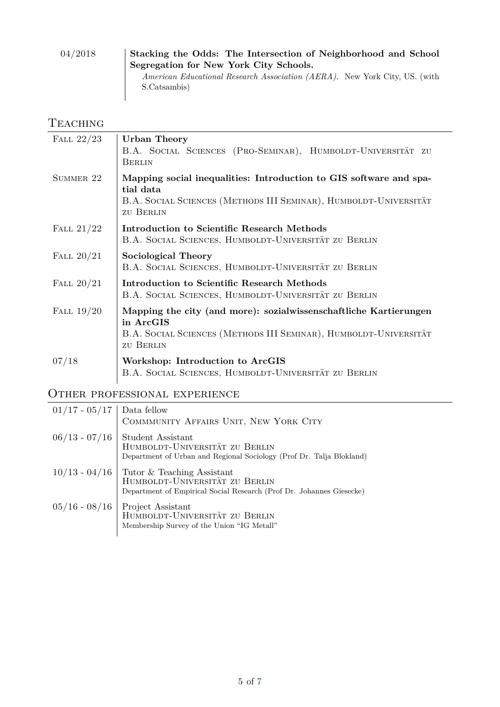| 04/2018 | Stacking the Odds: The Intersection of Neighborhood and School                    |
|---------|-----------------------------------------------------------------------------------|
|         | Segregation for New York City Schools.                                            |
|         | <i>American Educational Research Association (AERA).</i> New York City, US. (with |
|         | S.Catsambis)                                                                      |

#### **TEACHING**

 $\overline{\phantom{a}}$ 

| FALL $22/23$ | <b>Urban Theory</b><br>B.A. SOCIAL SCIENCES (PRO-SEMINAR), HUMBOLDT-UNIVERSITÄT ZU<br><b>BERLIN</b>                                                                     |
|--------------|-------------------------------------------------------------------------------------------------------------------------------------------------------------------------|
| SUMMER 22    | Mapping social inequalities: Introduction to GIS software and spa-<br>tial data<br>B.A. SOCIAL SCIENCES (METHODS III SEMINAR), HUMBOLDT-UNIVERSITÄT<br><b>ZU BERLIN</b> |
| FALL $21/22$ | Introduction to Scientific Research Methods<br>B.A. SOCIAL SCIENCES, HUMBOLDT-UNIVERSITÄT ZU BERLIN                                                                     |
| FALL $20/21$ | Sociological Theory<br>B.A. SOCIAL SCIENCES, HUMBOLDT-UNIVERSITÄT ZU BERLIN                                                                                             |
| FALL $20/21$ | Introduction to Scientific Research Methods<br>B.A. SOCIAL SCIENCES, HUMBOLDT-UNIVERSITÄT ZU BERLIN                                                                     |
| FALL $19/20$ | Mapping the city (and more): sozialwissenschaftliche Kartierungen<br>in ArcGIS<br>B.A. SOCIAL SCIENCES (METHODS III SEMINAR), HUMBOLDT-UNIVERSITÄT<br><b>ZU BERLIN</b>  |
| 07/18        | Workshop: Introduction to ArcGIS<br>B.A. SOCIAL SCIENCES, HUMBOLDT-UNIVERSITÄT ZU BERLIN                                                                                |

### OTHER PROFESSIONAL EXPERIENCE

| $01/17 - 05/17$ Data fellow | COMMMUNITY AFFAIRS UNIT, NEW YORK CITY                                                                                                               |
|-----------------------------|------------------------------------------------------------------------------------------------------------------------------------------------------|
| $06/13$ - $07/16$           | <b>Student Assistant</b><br>HUMBOLDT-UNIVERSITÄT ZU BERLIN<br>Department of Urban and Regional Sociology (Prof Dr. Talja Blokland)                   |
|                             | $10/13 - 04/16$ Tutor & Teaching Assistant<br>HUMBOLDT-UNIVERSITÄT ZU BERLIN<br>Department of Empirical Social Research (Prof Dr. Johannes Giesecke) |
| $05/16 - 08/16$             | Project Assistant<br>HUMBOLDT-UNIVERSITÄT ZU BERLIN<br>Membership Survey of the Union "IG Metall"                                                    |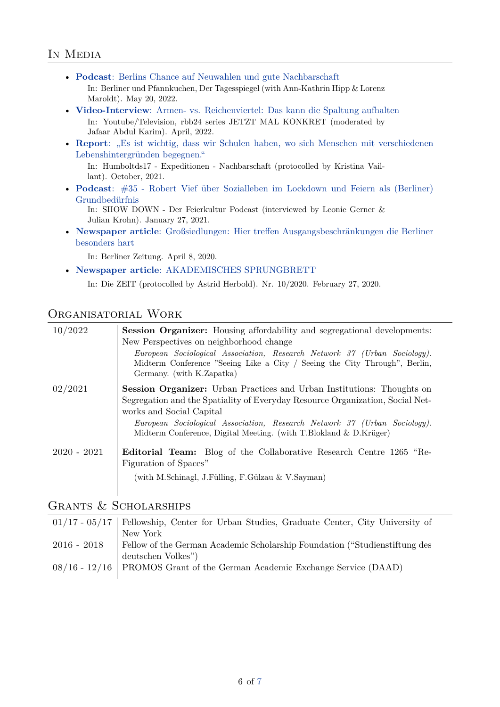#### IN MEDIA

- **Podcast**[: Berlins Chance auf Neuwahlen und gute Nachbarschaft](https://t.co/xuo8CFaCqq) In: Berliner und Pfannkuchen, Der Tagesspiegel (with Ann-Kathrin Hipp & Lorenz Maroldt). May 20, 2022.
- **Video-Interview**[: Armen- vs. Reichenviertel: Das kann die Spaltung aufhalten](https://youtu.be/zDpMUzy21Jg) In: Youtube/Television, rbb24 series JETZT MAL KONKRET (moderated by Jafaar Abdul Karim). April, 2022.
- **Report:** "Es ist wichtig, dass wir Schulen haben, wo sich Menschen mit verschiedenen [Lebenshintergründen begegnen."](https://humboldts17.de/de/expeditionen/expeditionen/nachbarschaften/es-ist-wichtig-dass-wir-schulen-haben-wo-sich-menschen-mit-verschiedenen-lebenshintergruenden-begegnen)

In: Humboltds17 - Expeditionen - Nachbarschaft (protocolled by Kristina Vaillant). October, 2021.

• **Podcast**[: #35 - Robert Vief über Sozialleben im Lockdown und Feiern als \(Berliner\)](https://t.co/lGvQuOc49E?amp=1) [Grundbedürfnis](https://t.co/lGvQuOc49E?amp=1)

In: SHOW DOWN - Der Feierkultur Podcast (interviewed by Leonie Gerner & Julian Krohn). January 27, 2021.

• **Newspaper article**[: Großsiedlungen: Hier treffen Ausgangsbeschränkungen die Berliner](https://www.berliner-zeitung.de/mensch-metropole/corona-berlin-grosssiedlungen-hier-treffen-ausgangsbeschraenkungen-die-berliner-besonders-hart-li.80734) [besonders hart](https://www.berliner-zeitung.de/mensch-metropole/corona-berlin-grosssiedlungen-hier-treffen-ausgangsbeschraenkungen-die-berliner-besonders-hart-li.80734)

In: Berliner Zeitung. April 8, 2020.

• **Newspaper article**[: AKADEMISCHES SPRUNGBRETT](https://www.zeit.de/2020/10/promotion-arbeitsbedingungen-wissenschaft-gehalt-doktoranden/komplettansicht)

In: Die ZEIT (protocolled by Astrid Herbold). Nr. 10/2020. February 27, 2020.

#### Organisatorial Work

| 10/2022       | <b>Session Organizer:</b> Housing affordability and segregational developments:<br>New Perspectives on neighborhood change<br>European Sociological Association, Research Network 37 (Urban Sociology).<br>Midterm Conference "Seeing Like a City / Seeing the City Through", Berlin,<br>Germany. (with K.Zapatka)                           |
|---------------|----------------------------------------------------------------------------------------------------------------------------------------------------------------------------------------------------------------------------------------------------------------------------------------------------------------------------------------------|
| 02/2021       | <b>Session Organizer:</b> Urban Practices and Urban Institutions: Thoughts on<br>Segregation and the Spatiality of Everyday Resource Organization, Social Net-<br>works and Social Capital<br>European Sociological Association, Research Network 37 (Urban Sociology).<br>Midterm Conference, Digital Meeting. (with T.Blokland & D.Krüger) |
| $2020 - 2021$ | Editorial Team: Blog of the Collaborative Research Centre 1265 "Re-<br>Figuration of Spaces"<br>(with M.Schinagl, J.Fülling, F.Gülzau & V.Sayman)                                                                                                                                                                                            |

#### Grants & Scholarships

| $01/17$ - $05/17$ Fellowship, Center for Urban Studies, Graduate Center, City University of |
|---------------------------------------------------------------------------------------------|
| New York                                                                                    |
| 2016 - 2018 Fellow of the German Academic Scholarship Foundation ("Studienstiftung des      |
| deutschen Volkes")                                                                          |
| $08/16 - 12/16$ PROMOS Grant of the German Academic Exchange Service (DAAD)                 |
|                                                                                             |